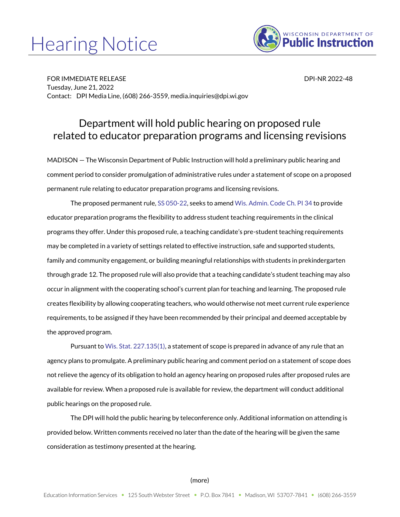## Hearing Notice



FOR IMMEDIATE RELEASE DESCRIPTION OF A 2022-48 Tuesday, June 21, 2022 Contact: DPI Media Line, (608) 266-3559, media.inquiries@dpi.wi.gov

## Department will hold public hearing on proposed rule related to educator preparation programs and licensing revisions

MADISON — The Wisconsin Department of Public Instruction will hold a preliminary public hearing and comment period to consider promulgation of administrative rules under a statement of scope on a proposed permanent rule relating to educator preparation programs and licensing revisions.

The proposed permanent rule[, SS 050-22,](https://docs.legis.wisconsin.gov/code/scope_statements/all/050_22) seeks to amen[d Wis. Admin. Code](https://docs.legis.wisconsin.gov/code/admin_code/pi/34) Ch. PI 34 to provide educator preparation programs the flexibility to address student teaching requirements in the clinical programs they offer. Under this proposed rule, a teaching candidate's pre-student teaching requirements may be completed in a variety of settings related to effective instruction, safe and supported students, family and community engagement, or building meaningful relationships with students in prekindergarten through grade 12. The proposed rule will also provide that a teaching candidate's student teaching may also occur in alignment with the cooperating school's current plan for teaching and learning. The proposed rule creates flexibility by allowing cooperating teachers, who would otherwise not meet current rule experience requirements, to be assigned if they have been recommended by their principal and deemed acceptable by the approved program.

Pursuant t[o Wis. Stat. 227.135\(1\),](https://docs.legis.wisconsin.gov/statutes/statutes/227/ii/135/1) a statement of scope is prepared in advance of any rule that an agency plans to promulgate. A preliminary public hearing and comment period on a statement of scope does not relieve the agency of its obligation to hold an agency hearing on proposed rules after proposed rules are available for review. When a proposed rule is available for review, the department will conduct additional public hearings on the proposed rule.

The DPI will hold the public hearing by teleconference only. Additional information on attending is provided below. Written comments received no later than the date of the hearing will be given the same consideration as testimony presented at the hearing.

## (more)